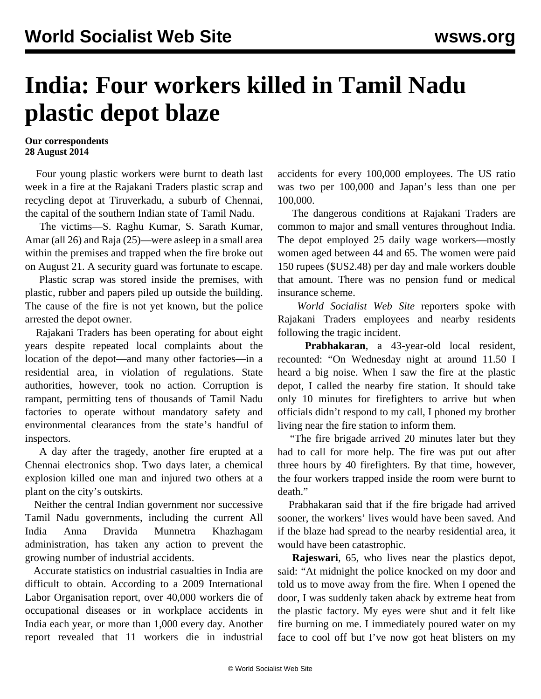## **India: Four workers killed in Tamil Nadu plastic depot blaze**

## **Our correspondents 28 August 2014**

 Four young plastic workers were burnt to death last week in a fire at the Rajakani Traders plastic scrap and recycling depot at Tiruverkadu, a suburb of Chennai, the capital of the southern Indian state of Tamil Nadu.

 The victims—S. Raghu Kumar, S. Sarath Kumar, Amar (all 26) and Raja (25)—were asleep in a small area within the premises and trapped when the fire broke out on August 21. A security guard was fortunate to escape.

 Plastic scrap was stored inside the premises, with plastic, rubber and papers piled up outside the building. The cause of the fire is not yet known, but the police arrested the depot owner.

 Rajakani Traders has been operating for about eight years despite repeated local complaints about the location of the depot—and many other factories—in a residential area, in violation of regulations. State authorities, however, took no action. Corruption is rampant, permitting tens of thousands of Tamil Nadu factories to operate without mandatory safety and environmental clearances from the state's handful of inspectors.

 A day after the tragedy, another fire erupted at a Chennai electronics shop. Two days later, a chemical explosion killed one man and injured two others at a plant on the city's outskirts.

 Neither the central Indian government nor successive Tamil Nadu governments, including the current All India Anna Dravida Munnetra Khazhagam administration, has taken any action to prevent the growing number of industrial accidents.

 Accurate statistics on industrial casualties in India are difficult to obtain. According to a 2009 International Labor Organisation report, over 40,000 workers die of occupational diseases or in workplace accidents in India each year, or more than 1,000 every day. Another report revealed that 11 workers die in industrial accidents for every 100,000 employees. The US ratio was two per 100,000 and Japan's less than one per 100,000.

 The dangerous conditions at Rajakani Traders are common to major and small ventures throughout India. The depot employed 25 daily wage workers—mostly women aged between 44 and 65. The women were paid 150 rupees (\$US2.48) per day and male workers double that amount. There was no pension fund or medical insurance scheme.

 *World Socialist Web Site* reporters spoke with Rajakani Traders employees and nearby residents following the tragic incident.

 **Prabhakaran**, a 43-year-old local resident, recounted: "On Wednesday night at around 11.50 I heard a big noise. When I saw the fire at the plastic depot, I called the nearby fire station. It should take only 10 minutes for firefighters to arrive but when officials didn't respond to my call, I phoned my brother living near the fire station to inform them.

 "The fire brigade arrived 20 minutes later but they had to call for more help. The fire was put out after three hours by 40 firefighters. By that time, however, the four workers trapped inside the room were burnt to death."

 Prabhakaran said that if the fire brigade had arrived sooner, the workers' lives would have been saved. And if the blaze had spread to the nearby residential area, it would have been catastrophic.

 **Rajeswari**, 65, who lives near the plastics depot, said: "At midnight the police knocked on my door and told us to move away from the fire. When I opened the door, I was suddenly taken aback by extreme heat from the plastic factory. My eyes were shut and it felt like fire burning on me. I immediately poured water on my face to cool off but I've now got heat blisters on my